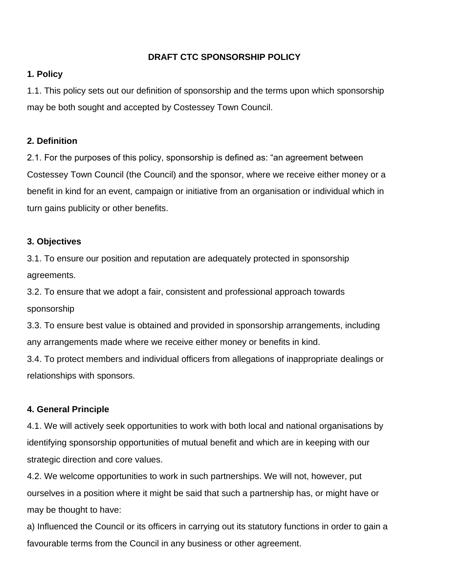## **DRAFT CTC SPONSORSHIP POLICY**

### **1. Policy**

1.1. This policy sets out our definition of sponsorship and the terms upon which sponsorship may be both sought and accepted by Costessey Town Council.

### **2. Definition**

2.1. For the purposes of this policy, sponsorship is defined as: "an agreement between Costessey Town Council (the Council) and the sponsor, where we receive either money or a benefit in kind for an event, campaign or initiative from an organisation or individual which in turn gains publicity or other benefits.

#### **3. Objectives**

3.1. To ensure our position and reputation are adequately protected in sponsorship agreements.

3.2. To ensure that we adopt a fair, consistent and professional approach towards sponsorship

3.3. To ensure best value is obtained and provided in sponsorship arrangements, including any arrangements made where we receive either money or benefits in kind.

3.4. To protect members and individual officers from allegations of inappropriate dealings or relationships with sponsors.

### **4. General Principle**

4.1. We will actively seek opportunities to work with both local and national organisations by identifying sponsorship opportunities of mutual benefit and which are in keeping with our strategic direction and core values.

4.2. We welcome opportunities to work in such partnerships. We will not, however, put ourselves in a position where it might be said that such a partnership has, or might have or may be thought to have:

a) Influenced the Council or its officers in carrying out its statutory functions in order to gain a favourable terms from the Council in any business or other agreement.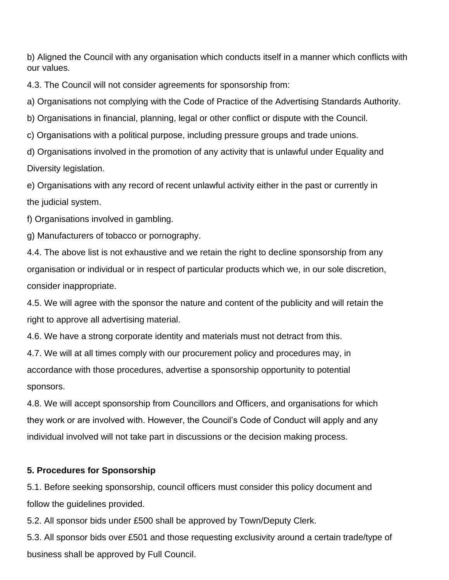b) Aligned the Council with any organisation which conducts itself in a manner which conflicts with our values.

4.3. The Council will not consider agreements for sponsorship from:

a) Organisations not complying with the Code of Practice of the Advertising Standards Authority.

b) Organisations in financial, planning, legal or other conflict or dispute with the Council.

c) Organisations with a political purpose, including pressure groups and trade unions.

d) Organisations involved in the promotion of any activity that is unlawful under Equality and Diversity legislation.

e) Organisations with any record of recent unlawful activity either in the past or currently in the judicial system.

f) Organisations involved in gambling.

g) Manufacturers of tobacco or pornography.

4.4. The above list is not exhaustive and we retain the right to decline sponsorship from any organisation or individual or in respect of particular products which we, in our sole discretion, consider inappropriate.

4.5. We will agree with the sponsor the nature and content of the publicity and will retain the right to approve all advertising material.

4.6. We have a strong corporate identity and materials must not detract from this.

4.7. We will at all times comply with our procurement policy and procedures may, in accordance with those procedures, advertise a sponsorship opportunity to potential sponsors.

4.8. We will accept sponsorship from Councillors and Officers, and organisations for which they work or are involved with. However, the Council's Code of Conduct will apply and any individual involved will not take part in discussions or the decision making process.

# **5. Procedures for Sponsorship**

5.1. Before seeking sponsorship, council officers must consider this policy document and follow the guidelines provided.

5.2. All sponsor bids under £500 shall be approved by Town/Deputy Clerk.

5.3. All sponsor bids over £501 and those requesting exclusivity around a certain trade/type of business shall be approved by Full Council.